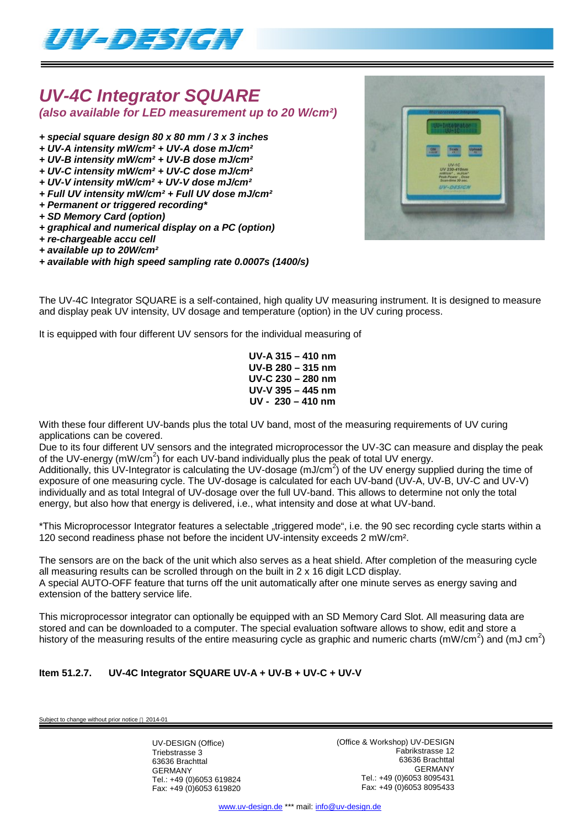

## *UV-4C Integrator SQUARE (also available for LED measurement up to 20 W/cm²)*

- *+ special square design 80 x 80 mm / 3 x 3 inches*
- *+ UV-A intensity mW/cm² + UV-A dose mJ/cm²*
- *+ UV-B intensity mW/cm² + UV-B dose mJ/cm²*
- *+ UV-C intensity mW/cm² + UV-C dose mJ/cm²*
- *+ UV-V intensity mW/cm² + UV-V dose mJ/cm²*
- *+ Full UV intensity mW/cm² + Full UV dose mJ/cm²*
- *+ Permanent or triggered recording\**
- *+ SD Memory Card (option)*
- *+ graphical and numerical display on a PC (option)*
- *+ re-chargeable accu cell*
- *+ available up to 20W/cm²*
- *+ available with high speed sampling rate 0.0007s (1400/s)*

The UV-4C Integrator SQUARE is a self-contained, high quality UV measuring instrument. It is designed to measure

and display peak UV intensity, UV dosage and temperature (option) in the UV curing process. It is equipped with four different UV sensors for the individual measuring of

> **UV-A 315 – 410 nm UV-B 280 – 315 nm UV-C 230 – 280 nm UV-V 395 – 445 nm UV - 230 – 410 nm**

With these four different UV-bands plus the total UV band, most of the measuring requirements of UV curing applications can be covered.

Due to its four different UV sensors and the integrated microprocessor the UV-3C can measure and display the peak of the UV-energy (mW/cm<sup>2</sup>) for each UV-band individually plus the peak of total UV energy.

Additionally, this UV-Integrator is calculating the UV-dosage (mJ/cm<sup>2</sup>) of the UV energy supplied during the time of exposure of one measuring cycle. The UV-dosage is calculated for each UV-band (UV-A, UV-B, UV-C and UV-V) individually and as total Integral of UV-dosage over the full UV-band. This allows to determine not only the total energy, but also how that energy is delivered, i.e., what intensity and dose at what UV-band.

\*This Microprocessor Integrator features a selectable "triggered mode", i.e. the 90 sec recording cycle starts within a 120 second readiness phase not before the incident UV-intensity exceeds 2 mW/cm².

The sensors are on the back of the unit which also serves as a heat shield. After completion of the measuring cycle all measuring results can be scrolled through on the built in  $2 \times 16$  digit LCD display. A special AUTO-OFF feature that turns off the unit automatically after one minute serves as energy saving and extension of the battery service life.

This microprocessor integrator can optionally be equipped with an SD Memory Card Slot. All measuring data are stored and can be downloaded to a computer. The special evaluation software allows to show, edit and store a history of the measuring results of the entire measuring cycle as graphic and numeric charts (mW/cm<sup>2</sup>) and (mJ cm<sup>2</sup>)

### **Item 51.2.7. UV-4C Integrator SQUARE UV-A + UV-B + UV-C + UV-V**

ubject to change without prior notice  $@$  2014-01

UV-DESIGN (Office) Triebstrasse 3 63636 Brachttal GERMANY Tel.: +49 (0)6053 619824 Fax: +49 (0)6053 619820